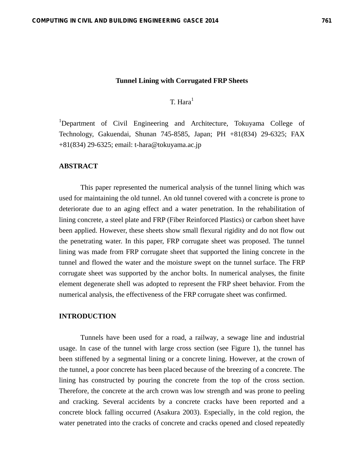#### **Tunnel Lining with Corrugated FRP Sheets**

 $T. Hara<sup>1</sup>$ 

<sup>1</sup>Department of Civil Engineering and Architecture, Tokuyama College of Technology, Gakuendai, Shunan 745-8585, Japan; PH +81(834) 29-6325; FAX +81(834) 29-6325; email: t-hara@tokuyama.ac.jp

# **ABSTRACT**

This paper represented the numerical analysis of the tunnel lining which was used for maintaining the old tunnel. An old tunnel covered with a concrete is prone to deteriorate due to an aging effect and a water penetration. In the rehabilitation of lining concrete, a steel plate and FRP (Fiber Reinforced Plastics) or carbon sheet have been applied. However, these sheets show small flexural rigidity and do not flow out the penetrating water. In this paper, FRP corrugate sheet was proposed. The tunnel lining was made from FRP corrugate sheet that supported the lining concrete in the tunnel and flowed the water and the moisture swept on the tunnel surface. The FRP corrugate sheet was supported by the anchor bolts. In numerical analyses, the finite element degenerate shell was adopted to represent the FRP sheet behavior. From the numerical analysis, the effectiveness of the FRP corrugate sheet was confirmed.

## **INTRODUCTION**

Tunnels have been used for a road, a railway, a sewage line and industrial usage. In case of the tunnel with large cross section (see Figure 1), the tunnel has been stiffened by a segmental lining or a concrete lining. However, at the crown of the tunnel, a poor concrete has been placed because of the breezing of a concrete. The lining has constructed by pouring the concrete from the top of the cross section. Therefore, the concrete at the arch crown was low strength and was prone to peeling and cracking. Several accidents by a concrete cracks have been reported and a concrete block falling occurred (Asakura 2003). Especially, in the cold region, the water penetrated into the cracks of concrete and cracks opened and closed repeatedly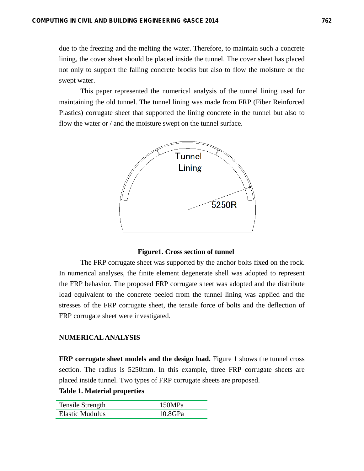due to the freezing and the melting the water. Therefore, to maintain such a concrete lining, the cover sheet should be placed inside the tunnel. The cover sheet has placed not only to support the falling concrete brocks but also to flow the moisture or the swept water.

This paper represented the numerical analysis of the tunnel lining used for maintaining the old tunnel. The tunnel lining was made from FRP (Fiber Reinforced Plastics) corrugate sheet that supported the lining concrete in the tunnel but also to flow the water or / and the moisture swept on the tunnel surface.



### **Figure1. Cross section of tunnel**

The FRP corrugate sheet was supported by the anchor bolts fixed on the rock. In numerical analyses, the finite element degenerate shell was adopted to represent the FRP behavior. The proposed FRP corrugate sheet was adopted and the distribute load equivalent to the concrete peeled from the tunnel lining was applied and the stresses of the FRP corrugate sheet, the tensile force of bolts and the deflection of FRP corrugate sheet were investigated.

## **NUMERICAL ANALYSIS**

**FRP corrugate sheet models and the design load.** Figure 1 shows the tunnel cross section. The radius is 5250mm. In this example, three FRP corrugate sheets are placed inside tunnel. Two types of FRP corrugate sheets are proposed.

**Table 1. Material properties** 

| Tensile Strength       | 150MPa     |
|------------------------|------------|
| <b>Elastic Mudulus</b> | $10.8$ GPa |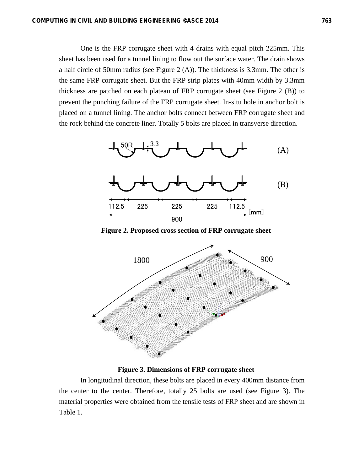One is the FRP corrugate sheet with 4 drains with equal pitch 225mm. This sheet has been used for a tunnel lining to flow out the surface water. The drain shows a half circle of 50mm radius (see Figure 2 (A)). The thickness is 3.3mm. The other is the same FRP corrugate sheet. But the FRP strip plates with 40mm width by 3.3mm thickness are patched on each plateau of FRP corrugate sheet (see Figure 2 (B)) to prevent the punching failure of the FRP corrugate sheet. In-situ hole in anchor bolt is placed on a tunnel lining. The anchor bolts connect between FRP corrugate sheet and the rock behind the concrete liner. Totally 5 bolts are placed in transverse direction.



**Figure 2. Proposed cross section of FRP corrugate sheet** 



**Figure 3. Dimensions of FRP corrugate sheet** 

In longitudinal direction, these bolts are placed in every 400mm distance from the center to the center. Therefore, totally 25 bolts are used (see Figure 3). The material properties were obtained from the tensile tests of FRP sheet and are shown in Table 1.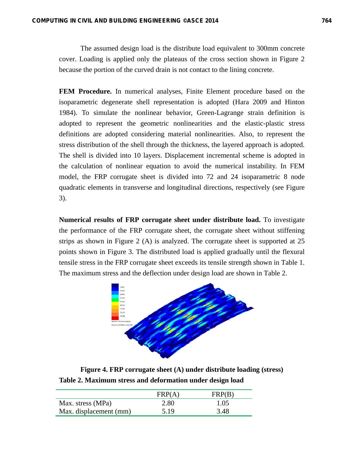The assumed design load is the distribute load equivalent to 300mm concrete cover. Loading is applied only the plateaus of the cross section shown in Figure 2 because the portion of the curved drain is not contact to the lining concrete.

**FEM Procedure.** In numerical analyses, Finite Element procedure based on the isoparametric degenerate shell representation is adopted (Hara 2009 and Hinton 1984). To simulate the nonlinear behavior, Green-Lagrange strain definition is adopted to represent the geometric nonlinearities and the elastic-plastic stress definitions are adopted considering material nonlinearities. Also, to represent the stress distribution of the shell through the thickness, the layered approach is adopted. The shell is divided into 10 layers. Displacement incremental scheme is adopted in the calculation of nonlinear equation to avoid the numerical instability. In FEM model, the FRP corrugate sheet is divided into 72 and 24 isoparametric 8 node quadratic elements in transverse and longitudinal directions, respectively (see Figure 3).

**Numerical results of FRP corrugate sheet under distribute load.** To investigate the performance of the FRP corrugate sheet, the corrugate sheet without stiffening strips as shown in Figure 2 (A) is analyzed. The corrugate sheet is supported at 25 points shown in Figure 3. The distributed load is applied gradually until the flexural tensile stress in the FRP corrugate sheet exceeds its tensile strength shown in Table 1. The maximum stress and the deflection under design load are shown in Table 2.



**Figure 4. FRP corrugate sheet (A) under distribute loading (stress) Table 2. Maximum stress and deformation under design load** 

|                        | FRP(A) | FRP(B) |
|------------------------|--------|--------|
| Max. stress (MPa)      | 2.80   | 1.05   |
| Max. displacement (mm) | 5.19   | 3.48   |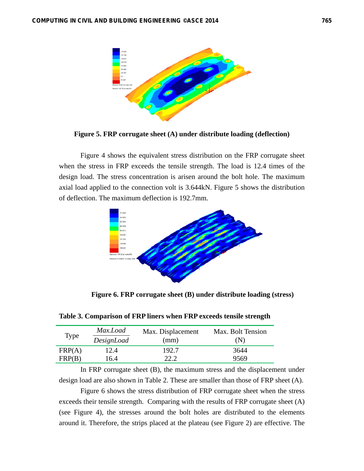

**Figure 5. FRP corrugate sheet (A) under distribute loading (deflection)**

Figure 4 shows the equivalent stress distribution on the FRP corrugate sheet when the stress in FRP exceeds the tensile strength. The load is 12.4 times of the design load. The stress concentration is arisen around the bolt hole. The maximum axial load applied to the connection volt is 3.644kN. Figure 5 shows the distribution of deflection. The maximum deflection is 192.7mm.



**Figure 6. FRP corrugate sheet (B) under distribute loading (stress)** 

| Type   | Max.Load<br>DesignLoad | Max. Displacement<br>(mm) | Max. Bolt Tension<br>(N) |
|--------|------------------------|---------------------------|--------------------------|
| FRP(A) | 12.4                   | 192.7                     | 3644                     |
| FRP(B) | 16.4                   | 22.2                      | 9569                     |

**Table 3. Comparison of FRP liners when FRP exceeds tensile strength** 

In FRP corrugate sheet (B), the maximum stress and the displacement under design load are also shown in Table 2. These are smaller than those of FRP sheet (A).

Figure 6 shows the stress distribution of FRP corrugate sheet when the stress exceeds their tensile strength. Comparing with the results of FRP corrugate sheet (A) (see Figure 4), the stresses around the bolt holes are distributed to the elements around it. Therefore, the strips placed at the plateau (see Figure 2) are effective. The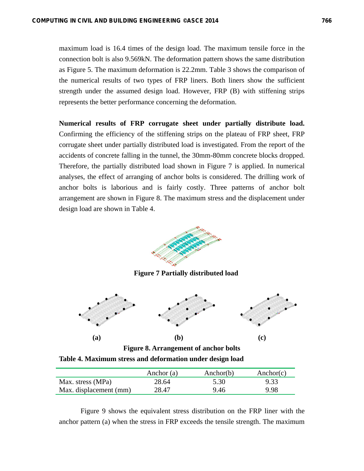maximum load is 16.4 times of the design load. The maximum tensile force in the connection bolt is also 9.569kN. The deformation pattern shows the same distribution as Figure 5. The maximum deformation is 22.2mm. Table 3 shows the comparison of the numerical results of two types of FRP liners. Both liners show the sufficient strength under the assumed design load. However, FRP (B) with stiffening strips represents the better performance concerning the deformation.

**Numerical results of FRP corrugate sheet under partially distribute load.**  Confirming the efficiency of the stiffening strips on the plateau of FRP sheet, FRP corrugate sheet under partially distributed load is investigated. From the report of the accidents of concrete falling in the tunnel, the 30mm-80mm concrete blocks dropped. Therefore, the partially distributed load shown in Figure 7 is applied. In numerical analyses, the effect of arranging of anchor bolts is considered. The drilling work of anchor bolts is laborious and is fairly costly. Three patterns of anchor bolt arrangement are shown in Figure 8. The maximum stress and the displacement under design load are shown in Table 4.



**Figure 7 Partially distributed load** 





|                        | Anchor $(a)$ | Anchor(b) | Anchor(c) |
|------------------------|--------------|-----------|-----------|
| Max. stress (MPa)      | 28.64        | 5.30      | 9.33      |
| Max. displacement (mm) | 28.47        | 9.46      | 9.98      |

Figure 9 shows the equivalent stress distribution on the FRP liner with the anchor pattern (a) when the stress in FRP exceeds the tensile strength. The maximum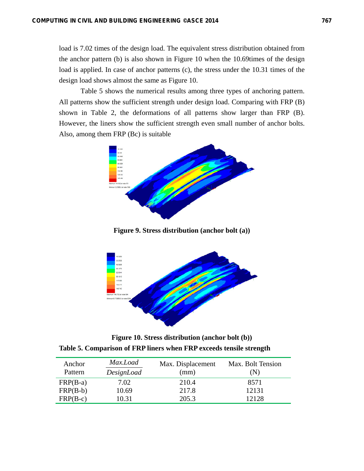load is 7.02 times of the design load. The equivalent stress distribution obtained from the anchor pattern (b) is also shown in Figure 10 when the 10.69times of the design load is applied. In case of anchor patterns (c), the stress under the 10.31 times of the design load shows almost the same as Figure 10.

Table 5 shows the numerical results among three types of anchoring pattern. All patterns show the sufficient strength under design load. Comparing with FRP (B) shown in Table 2, the deformations of all patterns show larger than FRP (B). However, the liners show the sufficient strength even small number of anchor bolts. Also, among them FRP (Bc) is suitable



**Figure 9. Stress distribution (anchor bolt (a))** 



**Figure 10. Stress distribution (anchor bolt (b)) Table 5. Comparison of FRP liners when FRP exceeds tensile strength** 

| Anchor<br>Pattern | Max.Load<br>DesignLoad | Max. Displacement<br>(mm) | Max. Bolt Tension<br>(N) |
|-------------------|------------------------|---------------------------|--------------------------|
| $FRP(B-a)$        | 7.02                   | 210.4                     | 8571                     |
| $FRP(B-b)$        | 10.69                  | 217.8                     | 12131                    |
| $FRP(B-c)$        | 10.31                  | 205.3                     | 12128                    |